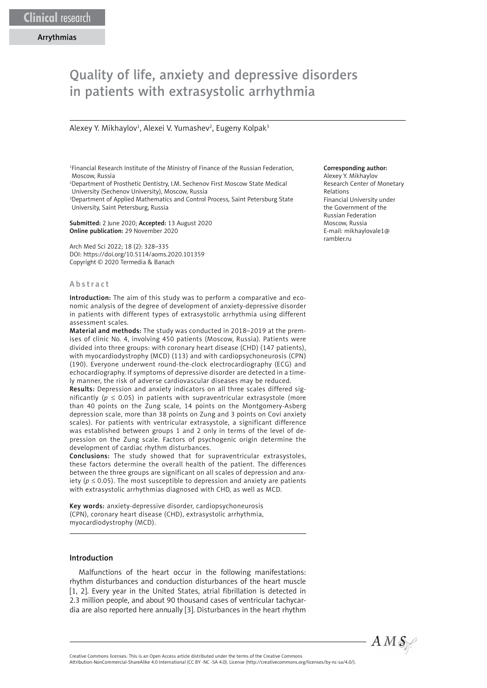# Quality of life, anxiety and depressive disorders in patients with extrasystolic arrhythmia

# Alexey Y. Mikhaylov<sup>1</sup>, Alexei V. Yumashev<sup>2</sup>, Eugeny Kolpak<sup>3</sup>

1 Financial Research Institute of the Ministry of Finance of the Russian Federation, Moscow, Russia

2 Department of Prosthetic Dentistry, I.M. Sechenov First Moscow State Medical University (Sechenov University), Moscow, Russia

<sup>3</sup>Department of Applied Mathematics and Control Process, Saint Petersburg State University, Saint Petersburg, Russia

Submitted: 2 June 2020; Accepted: 13 August 2020 Online publication: 29 November 2020

Arch Med Sci 2022; 18 (2): 328–335 DOI: https://doi.org/10.5114/aoms.2020.101359 Copyright © 2020 Termedia & Banach

## Abstract

Introduction: The aim of this study was to perform a comparative and economic analysis of the degree of development of anxiety-depressive disorder in patients with different types of extrasystolic arrhythmia using different assessment scales.

Material and methods: The study was conducted in 2018–2019 at the premises of clinic No. 4, involving 450 patients (Moscow, Russia). Patients were divided into three groups: with coronary heart disease (CHD) (147 patients), with myocardiodystrophy (MCD) (113) and with cardiopsychoneurosis (CPN) (190). Everyone underwent round-the-clock electrocardiography (ECG) and echocardiography. If symptoms of depressive disorder are detected in a timely manner, the risk of adverse cardiovascular diseases may be reduced.

Results: Depression and anxiety indicators on all three scales differed significantly ( $p \le 0.05$ ) in patients with supraventricular extrasystole (more than 40 points on the Zung scale, 14 points on the Montgomery-Asberg depression scale, more than 38 points on Zung and 3 points on Covi anxiety scales). For patients with ventricular extrasystole, a significant difference was established between groups 1 and 2 only in terms of the level of depression on the Zung scale. Factors of psychogenic origin determine the development of cardiac rhythm disturbances.

Conclusions: The study showed that for supraventricular extrasystoles, these factors determine the overall health of the patient. The differences between the three groups are significant on all scales of depression and anxiety ( $p \le 0.05$ ). The most susceptible to depression and anxiety are patients with extrasystolic arrhythmias diagnosed with CHD, as well as MCD.

Key words: anxiety-depressive disorder, cardiopsychoneurosis (CPN), coronary heart disease (CHD), extrasystolic arrhythmia, myocardiodystrophy (MCD).

## Introduction

Malfunctions of the heart occur in the following manifestations: rhythm disturbances and conduction disturbances of the heart muscle [1, 2]. Every year in the United States, atrial fibrillation is detected in 2.3 million people, and about 90 thousand cases of ventricular tachycardia are also reported here annually [3]. Disturbances in the heart rhythm

#### Corresponding author:

Alexey Y. Mikhaylov Research Center of Monetary Relations Financial University under the Government of the Russian Federation Moscow, Russia E-mail: mikhaylovale1@ rambler.ru



Attribution-NonCommercial-ShareAlike 4.0 International (CC BY -NC -SA 4.0). License (http://creativecommons.org/licenses/by-nc-sa/4.0/).

Creative Commons licenses: This is an Open Access article distributed under the terms of the Creative Commons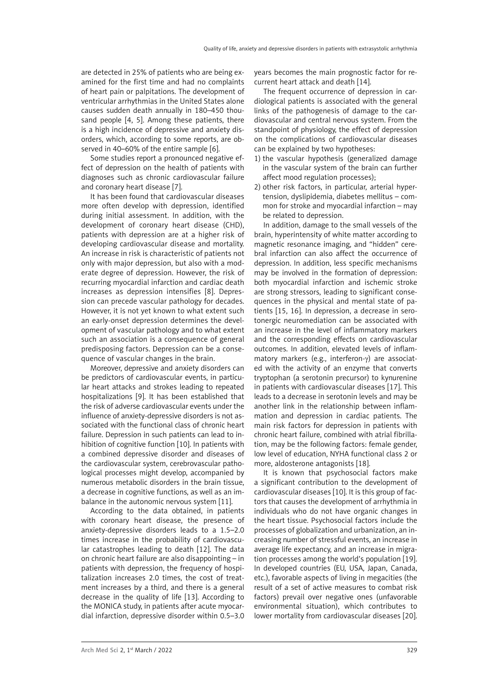are detected in 25% of patients who are being examined for the first time and had no complaints of heart pain or palpitations. The development of ventricular arrhythmias in the United States alone causes sudden death annually in 180–450 thousand people [4, 5]. Among these patients, there is a high incidence of depressive and anxiety disorders, which, according to some reports, are observed in 40–60% of the entire sample [6].

Some studies report a pronounced negative effect of depression on the health of patients with diagnoses such as chronic cardiovascular failure and coronary heart disease [7].

It has been found that cardiovascular diseases more often develop with depression, identified during initial assessment. In addition, with the development of coronary heart disease (CHD), patients with depression are at a higher risk of developing cardiovascular disease and mortality. An increase in risk is characteristic of patients not only with major depression, but also with a moderate degree of depression. However, the risk of recurring myocardial infarction and cardiac death increases as depression intensifies [8]. Depression can precede vascular pathology for decades. However, it is not yet known to what extent such an early-onset depression determines the development of vascular pathology and to what extent such an association is a consequence of general predisposing factors. Depression can be a consequence of vascular changes in the brain.

Moreover, depressive and anxiety disorders can be predictors of cardiovascular events, in particular heart attacks and strokes leading to repeated hospitalizations [9]. It has been established that the risk of adverse cardiovascular events under the influence of anxiety-depressive disorders is not associated with the functional class of chronic heart failure. Depression in such patients can lead to inhibition of cognitive function [10]. In patients with a combined depressive disorder and diseases of the cardiovascular system, cerebrovascular pathological processes might develop, accompanied by numerous metabolic disorders in the brain tissue, a decrease in cognitive functions, as well as an imbalance in the autonomic nervous system [11].

According to the data obtained, in patients with coronary heart disease, the presence of anxiety-depressive disorders leads to a 1.5–2.0 times increase in the probability of cardiovascular catastrophes leading to death [12]. The data on chronic heart failure are also disappointing – in patients with depression, the frequency of hospitalization increases 2.0 times, the cost of treatment increases by a third, and there is a general decrease in the quality of life [13]. According to the MONICA study, in patients after acute myocardial infarction, depressive disorder within 0.5–3.0 years becomes the main prognostic factor for recurrent heart attack and death [14].

The frequent occurrence of depression in cardiological patients is associated with the general links of the pathogenesis of damage to the cardiovascular and central nervous system. From the standpoint of physiology, the effect of depression on the complications of cardiovascular diseases can be explained by two hypotheses:

- 1) the vascular hypothesis (generalized damage in the vascular system of the brain can further affect mood regulation processes);
- 2) other risk factors, in particular, arterial hypertension, dyslipidemia, diabetes mellitus – common for stroke and myocardial infarction – may be related to depression.

In addition, damage to the small vessels of the brain, hyperintensity of white matter according to magnetic resonance imaging, and "hidden" cerebral infarction can also affect the occurrence of depression. In addition, less specific mechanisms may be involved in the formation of depression: both myocardial infarction and ischemic stroke are strong stressors, leading to significant consequences in the physical and mental state of patients [15, 16]. In depression, a decrease in serotonergic neuromediation can be associated with an increase in the level of inflammatory markers and the corresponding effects on cardiovascular outcomes. In addition, elevated levels of inflammatory markers (e.g., interferon- $\gamma$ ) are associated with the activity of an enzyme that converts tryptophan (a serotonin precursor) to kynurenine in patients with cardiovascular diseases [17]. This leads to a decrease in serotonin levels and may be another link in the relationship between inflammation and depression in cardiac patients. The main risk factors for depression in patients with chronic heart failure, combined with atrial fibrillation, may be the following factors: female gender, low level of education, NYHA functional class 2 or more, aldosterone antagonists [18].

It is known that psychosocial factors make a significant contribution to the development of cardiovascular diseases [10]. It is this group of factors that causes the development of arrhythmia in individuals who do not have organic changes in the heart tissue. Psychosocial factors include the processes of globalization and urbanization, an increasing number of stressful events, an increase in average life expectancy, and an increase in migration processes among the world's population [19]. In developed countries (EU, USA, Japan, Canada, etc.), favorable aspects of living in megacities (the result of a set of active measures to combat risk factors) prevail over negative ones (unfavorable environmental situation), which contributes to lower mortality from cardiovascular diseases [20].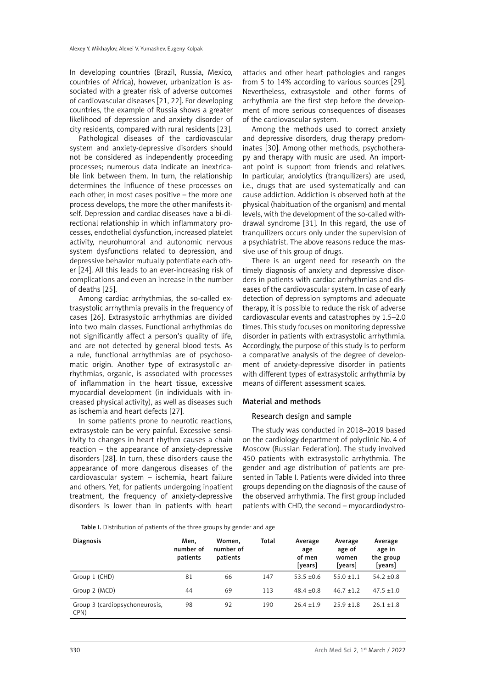In developing countries (Brazil, Russia, Mexico, countries of Africa), however, urbanization is associated with a greater risk of adverse outcomes of cardiovascular diseases [21, 22]. For developing countries, the example of Russia shows a greater likelihood of depression and anxiety disorder of city residents, compared with rural residents [23].

Pathological diseases of the cardiovascular system and anxiety-depressive disorders should not be considered as independently proceeding processes; numerous data indicate an inextricable link between them. In turn, the relationship determines the influence of these processes on each other, in most cases positive – the more one process develops, the more the other manifests itself. Depression and cardiac diseases have a bi-directional relationship in which inflammatory processes, endothelial dysfunction, increased platelet activity, neurohumoral and autonomic nervous system dysfunctions related to depression, and depressive behavior mutually potentiate each other [24]. All this leads to an ever-increasing risk of complications and even an increase in the number of deaths [25].

Among cardiac arrhythmias, the so-called extrasystolic arrhythmia prevails in the frequency of cases [26]. Extrasystolic arrhythmias are divided into two main classes. Functional arrhythmias do not significantly affect a person's quality of life, and are not detected by general blood tests. As a rule, functional arrhythmias are of psychosomatic origin. Another type of extrasystolic arrhythmias, organic, is associated with processes of inflammation in the heart tissue, excessive myocardial development (in individuals with increased physical activity), as well as diseases such as ischemia and heart defects [27].

In some patients prone to neurotic reactions, extrasystole can be very painful. Excessive sensitivity to changes in heart rhythm causes a chain reaction – the appearance of anxiety-depressive disorders [28]. In turn, these disorders cause the appearance of more dangerous diseases of the cardiovascular system – ischemia, heart failure and others. Yet, for patients undergoing inpatient treatment, the frequency of anxiety-depressive disorders is lower than in patients with heart

attacks and other heart pathologies and ranges from 5 to 14% according to various sources [29]. Nevertheless, extrasystole and other forms of arrhythmia are the first step before the development of more serious consequences of diseases of the cardiovascular system.

Among the methods used to correct anxiety and depressive disorders, drug therapy predominates [30]. Among other methods, psychotherapy and therapy with music are used. An important point is support from friends and relatives. In particular, anxiolytics (tranquilizers) are used, i.e., drugs that are used systematically and can cause addiction. Addiction is observed both at the physical (habituation of the organism) and mental levels, with the development of the so-called withdrawal syndrome [31]. In this regard, the use of tranquilizers occurs only under the supervision of a psychiatrist. The above reasons reduce the massive use of this group of drugs.

There is an urgent need for research on the timely diagnosis of anxiety and depressive disorders in patients with cardiac arrhythmias and diseases of the cardiovascular system. In case of early detection of depression symptoms and adequate therapy, it is possible to reduce the risk of adverse cardiovascular events and catastrophes by 1.5–2.0 times. This study focuses on monitoring depressive disorder in patients with extrasystolic arrhythmia. Accordingly, the purpose of this study is to perform a comparative analysis of the degree of development of anxiety-depressive disorder in patients with different types of extrasystolic arrhythmia by means of different assessment scales.

# Material and methods

# Research design and sample

The study was conducted in 2018–2019 based on the cardiology department of polyclinic No. 4 of Moscow (Russian Federation). The study involved 450 patients with extrasystolic arrhythmia. The gender and age distribution of patients are presented in Table I. Patients were divided into three groups depending on the diagnosis of the cause of the observed arrhythmia. The first group included patients with CHD, the second – myocardiodystro-

Table I. Distribution of patients of the three groups by gender and age

| <b>Diagnosis</b>                       | Men,<br>number of<br>patients | Women,<br>number of<br>patients | Total | Average<br>age<br>of men<br>[years] | Average<br>age of<br>women<br>[years] | Average<br>age in<br>the group<br>[years] |
|----------------------------------------|-------------------------------|---------------------------------|-------|-------------------------------------|---------------------------------------|-------------------------------------------|
| Group 1 (CHD)                          | 81                            | 66                              | 147   | $53.5 + 0.6$                        | $55.0 \pm 1.1$                        | $54.2 \pm 0.8$                            |
| Group 2 (MCD)                          | 44                            | 69                              | 113   | $48.4 \pm 0.8$                      | $46.7 \pm 1.2$                        | $47.5 \pm 1.0$                            |
| Group 3 (cardiopsychoneurosis,<br>CPN) | 98                            | 92                              | 190   | $26.4 \pm 1.9$                      | $25.9 \pm 1.8$                        | $26.1 \pm 1.8$                            |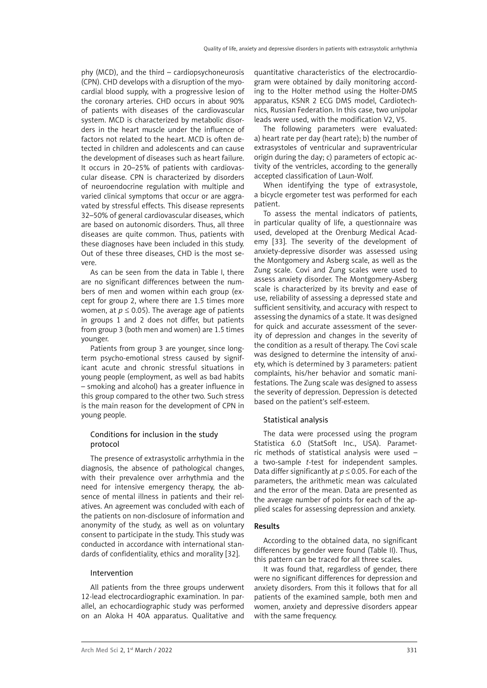phy (MCD), and the third – cardiopsychoneurosis (CPN). CHD develops with a disruption of the myocardial blood supply, with a progressive lesion of the coronary arteries. CHD occurs in about 90% of patients with diseases of the cardiovascular system. MCD is characterized by metabolic disorders in the heart muscle under the influence of factors not related to the heart. MCD is often detected in children and adolescents and can cause the development of diseases such as heart failure. It occurs in 20–25% of patients with cardiovascular disease. CPN is characterized by disorders of neuroendocrine regulation with multiple and varied clinical symptoms that occur or are aggravated by stressful effects. This disease represents 32–50% of general cardiovascular diseases, which are based on autonomic disorders. Thus, all three diseases are quite common. Thus, patients with these diagnoses have been included in this study. Out of these three diseases, CHD is the most severe.

As can be seen from the data in Table I, there are no significant differences between the numbers of men and women within each group (except for group 2, where there are 1.5 times more women, at  $p \le 0.05$ ). The average age of patients in groups 1 and 2 does not differ, but patients from group 3 (both men and women) are 1.5 times younger.

Patients from group 3 are younger, since longterm psycho-emotional stress caused by significant acute and chronic stressful situations in young people (employment, as well as bad habits – smoking and alcohol) has a greater influence in this group compared to the other two. Such stress is the main reason for the development of CPN in young people.

# Conditions for inclusion in the study protocol

The presence of extrasystolic arrhythmia in the diagnosis, the absence of pathological changes, with their prevalence over arrhythmia and the need for intensive emergency therapy, the absence of mental illness in patients and their relatives. An agreement was concluded with each of the patients on non-disclosure of information and anonymity of the study, as well as on voluntary consent to participate in the study. This study was conducted in accordance with international standards of confidentiality, ethics and morality [32].

# Intervention

All patients from the three groups underwent 12-lead electrocardiographic examination. In parallel, an echocardiographic study was performed on an Aloka H 40A apparatus. Qualitative and quantitative characteristics of the electrocardiogram were obtained by daily monitoring according to the Holter method using the Holter-DMS apparatus, KSNR 2 ECG DMS model, Cardiotechnics, Russian Federation. In this case, two unipolar leads were used, with the modification V2, V5.

The following parameters were evaluated: a) heart rate per day (heart rate); b) the number of extrasystoles of ventricular and supraventricular origin during the day; c) parameters of ectopic activity of the ventricles, according to the generally accepted classification of Laun-Wolf.

When identifying the type of extrasystole, a bicycle ergometer test was performed for each patient.

To assess the mental indicators of patients, in particular quality of life, a questionnaire was used, developed at the Orenburg Medical Academy [33]. The severity of the development of anxiety-depressive disorder was assessed using the Montgomery and Asberg scale, as well as the Zung scale. Covi and Zung scales were used to assess anxiety disorder. The Montgomery-Asberg scale is characterized by its brevity and ease of use, reliability of assessing a depressed state and sufficient sensitivity, and accuracy with respect to assessing the dynamics of a state. It was designed for quick and accurate assessment of the severity of depression and changes in the severity of the condition as a result of therapy. The Covi scale was designed to determine the intensity of anxiety, which is determined by 3 parameters: patient complaints, his/her behavior and somatic manifestations. The Zung scale was designed to assess the severity of depression. Depression is detected based on the patient's self-esteem.

# Statistical analysis

The data were processed using the program Statistica 6.0 (StatSoft Inc., USA). Parametric methods of statistical analysis were used – a two-sample *t*-test for independent samples. Data differ significantly at *p* ≤ 0.05. For each of the parameters, the arithmetic mean was calculated and the error of the mean. Data are presented as the average number of points for each of the applied scales for assessing depression and anxiety.

### Results

According to the obtained data, no significant differences by gender were found (Table II). Thus, this pattern can be traced for all three scales.

It was found that, regardless of gender, there were no significant differences for depression and anxiety disorders. From this it follows that for all patients of the examined sample, both men and women, anxiety and depressive disorders appear with the same frequency.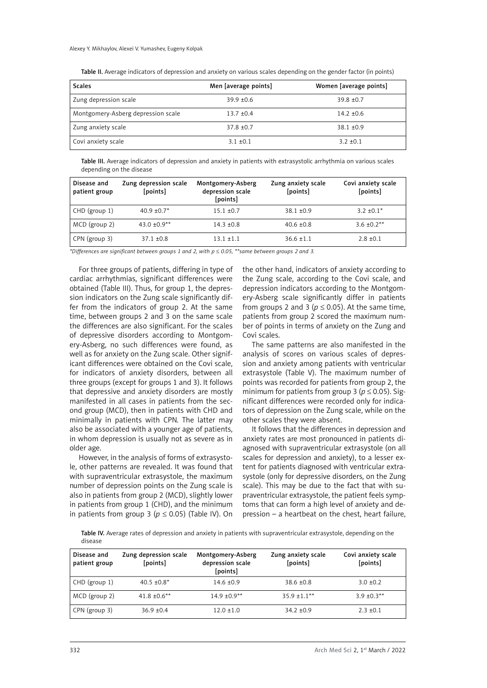| <b>Scales</b>                      | Men [average points] | Women [average points] |
|------------------------------------|----------------------|------------------------|
| Zung depression scale              | $39.9 + 0.6$         | $39.8 + 0.7$           |
| Montgomery-Asberg depression scale | $13.7 + 0.4$         | $14.2 + 0.6$           |
| Zung anxiety scale                 | $37.8 \pm 0.7$       | $38.1 + 0.9$           |
| Covi anxiety scale                 | $3.1 \pm 0.1$        | $3.2 + 0.1$            |

Table II. Average indicators of depression and anxiety on various scales depending on the gender factor (in points)

Table III. Average indicators of depression and anxiety in patients with extrasystolic arrhythmia on various scales depending on the disease

| Disease and<br>patient group | Zung depression scale<br>[points] | Montgomery-Asberg<br>depression scale<br>[points] | Zung anxiety scale<br>[points] | Covi anxiety scale<br>[points] |
|------------------------------|-----------------------------------|---------------------------------------------------|--------------------------------|--------------------------------|
| CHD (group 1)                | $40.9 \pm 0.7$ *                  | $15.1 \pm 0.7$                                    | $38.1 \pm 0.9$                 | $3.2 \pm 0.1*$                 |
| MCD (group 2)                | $43.0 \pm 0.9**$                  | $14.3 \pm 0.8$                                    | $40.6 \pm 0.8$                 | $3.6 \pm 0.2$ **               |
| CPN (group 3)                | $37.1 \pm 0.8$                    | $13.1 \pm 1.1$                                    | $36.6 \pm 1.1$                 | $2.8 \pm 0.1$                  |

*\*Differences are significant between groups 1 and 2, with p* ≤ *0.05, \*\*same between groups 2 and 3.*

For three groups of patients, differing in type of cardiac arrhythmias, significant differences were obtained (Table III). Thus, for group 1, the depression indicators on the Zung scale significantly differ from the indicators of group 2. At the same time, between groups 2 and 3 on the same scale the differences are also significant. For the scales of depressive disorders according to Montgomery-Asberg, no such differences were found, as well as for anxiety on the Zung scale. Other significant differences were obtained on the Covi scale, for indicators of anxiety disorders, between all three groups (except for groups 1 and 3). It follows that depressive and anxiety disorders are mostly manifested in all cases in patients from the second group (MCD), then in patients with CHD and minimally in patients with CPN. The latter may also be associated with a younger age of patients, in whom depression is usually not as severe as in older age.

However, in the analysis of forms of extrasystole, other patterns are revealed. It was found that with supraventricular extrasystole, the maximum number of depression points on the Zung scale is also in patients from group 2 (MCD), slightly lower in patients from group 1 (CHD), and the minimum in patients from group 3 ( $p \le 0.05$ ) (Table IV). On the other hand, indicators of anxiety according to the Zung scale, according to the Covi scale, and depression indicators according to the Montgomery-Asberg scale significantly differ in patients from groups 2 and 3 ( $p \le 0.05$ ). At the same time, patients from group 2 scored the maximum number of points in terms of anxiety on the Zung and Covi scales.

The same patterns are also manifested in the analysis of scores on various scales of depression and anxiety among patients with ventricular extrasystole (Table V). The maximum number of points was recorded for patients from group 2, the minimum for patients from group 3 ( $p \le 0.05$ ). Significant differences were recorded only for indicators of depression on the Zung scale, while on the other scales they were absent.

It follows that the differences in depression and anxiety rates are most pronounced in patients diagnosed with supraventricular extrasystole (on all scales for depression and anxiety), to a lesser extent for patients diagnosed with ventricular extrasystole (only for depressive disorders, on the Zung scale). This may be due to the fact that with supraventricular extrasystole, the patient feels symptoms that can form a high level of anxiety and depression – a heartbeat on the chest, heart failure,

Table IV. Average rates of depression and anxiety in patients with supraventricular extrasystole, depending on the disease

| Disease and<br>patient group | Zung depression scale<br>[points] | Montgomery-Asberg<br>depression scale<br>[points] | Zung anxiety scale<br>[points] | Covi anxiety scale<br>[points] |
|------------------------------|-----------------------------------|---------------------------------------------------|--------------------------------|--------------------------------|
| CHD (group 1)                | $40.5 \pm 0.8^*$                  | $14.6 \pm 0.9$                                    | $38.6 \pm 0.8$                 | $3.0 + 0.2$                    |
| $MCD$ (group 2)              | $41.8 \pm 0.6$ **                 | $14.9 \pm 0.9**$                                  | $35.9 \pm 1.1***$              | $3.9 \pm 0.3$ **               |
| CPN (group 3)                | $36.9 + 0.4$                      | $12.0 \pm 1.0$                                    | $34.2 + 0.9$                   | $2.3 \pm 0.1$                  |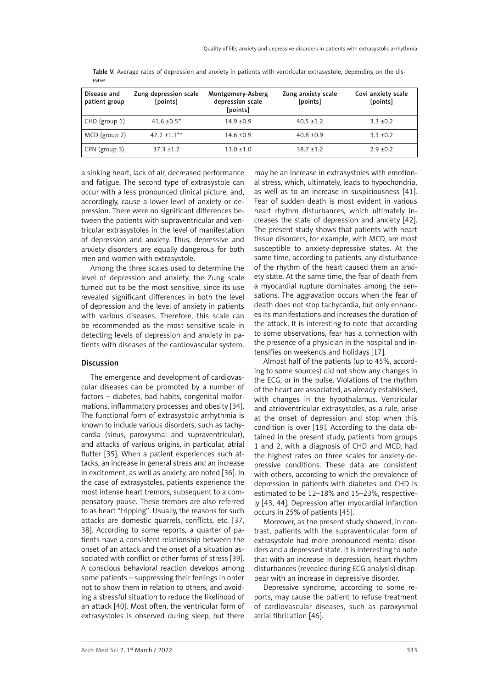| Disease and<br>patient group | Zung depression scale<br>[points] | Montgomery-Asberg<br>depression scale<br>[points] | Zung anxiety scale<br>[points] | Covi anxiety scale<br>[points] |
|------------------------------|-----------------------------------|---------------------------------------------------|--------------------------------|--------------------------------|
| CHD (group 1)                | $41.6 \pm 0.5^*$                  | $14.9 + 0.9$                                      | $40.5 \pm 1.2$                 | $3.3 + 0.2$                    |
| MCD (group 2)                | $42.2 \pm 1.1***$                 | $14.6 \pm 0.9$                                    | $40.8 \pm 0.9$                 | $3.3 + 0.2$                    |
| CPN (group 3)                | $37.3 + 1.2$                      | $13.0 \pm 1.0$                                    | $38.7 + 1.2$                   | $2.9 + 0.2$                    |

Table V. Average rates of depression and anxiety in patients with ventricular extrasystole, depending on the disease

a sinking heart, lack of air, decreased performance and fatigue. The second type of extrasystole can occur with a less pronounced clinical picture, and, accordingly, cause a lower level of anxiety or depression. There were no significant differences between the patients with supraventricular and ventricular extrasystoles in the level of manifestation of depression and anxiety. Thus, depressive and anxiety disorders are equally dangerous for both men and women with extrasystole.

Among the three scales used to determine the level of depression and anxiety, the Zung scale turned out to be the most sensitive, since its use revealed significant differences in both the level of depression and the level of anxiety in patients with various diseases. Therefore, this scale can be recommended as the most sensitive scale in detecting levels of depression and anxiety in patients with diseases of the cardiovascular system.

# Discussion

The emergence and development of cardiovascular diseases can be promoted by a number of factors – diabetes, bad habits, congenital malformations, inflammatory processes and obesity [34]. The functional form of extrasystolic arrhythmia is known to include various disorders, such as tachycardia (sinus, paroxysmal and supraventricular), and attacks of various origins, in particular, atrial flutter [35]. When a patient experiences such attacks, an increase in general stress and an increase in excitement, as well as anxiety, are noted [36]. In the case of extrasystoles, patients experience the most intense heart tremors, subsequent to a compensatory pause. These tremors are also referred to as heart "tripping". Usually, the reasons for such attacks are domestic quarrels, conflicts, etc. [37, 38]. According to some reports, a quarter of patients have a consistent relationship between the onset of an attack and the onset of a situation associated with conflict or other forms of stress [39]. A conscious behavioral reaction develops among some patients – suppressing their feelings in order not to show them in relation to others, and avoiding a stressful situation to reduce the likelihood of an attack [40]. Most often, the ventricular form of extrasystoles is observed during sleep, but there

may be an increase in extrasystoles with emotional stress, which, ultimately, leads to hypochondria, as well as to an increase in suspiciousness [41]. Fear of sudden death is most evident in various heart rhythm disturbances, which ultimately increases the state of depression and anxiety [42]. The present study shows that patients with heart tissue disorders, for example, with MCD, are most susceptible to anxiety-depressive states. At the same time, according to patients, any disturbance of the rhythm of the heart caused them an anxiety state. At the same time, the fear of death from a myocardial rupture dominates among the sensations. The aggravation occurs when the fear of death does not stop tachycardia, but only enhances its manifestations and increases the duration of the attack. It is interesting to note that according to some observations, fear has a connection with the presence of a physician in the hospital and intensifies on weekends and holidays [17].

Almost half of the patients (up to 45%, according to some sources) did not show any changes in the ECG, or in the pulse. Violations of the rhythm of the heart are associated, as already established, with changes in the hypothalamus. Ventricular and atrioventricular extrasystoles, as a rule, arise at the onset of depression and stop when this condition is over [19]. According to the data obtained in the present study, patients from groups 1 and 2, with a diagnosis of CHD and MCD, had the highest rates on three scales for anxiety-depressive conditions. These data are consistent with others, according to which the prevalence of depression in patients with diabetes and CHD is estimated to be 12–18% and 15–23%, respectively [43, 44]. Depression after myocardial infarction occurs in 25% of patients [45].

Moreover, as the present study showed, in contrast, patients with the supraventricular form of extrasystole had more pronounced mental disorders and a depressed state. It is interesting to note that with an increase in depression, heart rhythm disturbances (revealed during ECG analysis) disappear with an increase in depressive disorder.

Depressive syndrome, according to some reports, may cause the patient to refuse treatment of cardiovascular diseases, such as paroxysmal atrial fibrillation [46].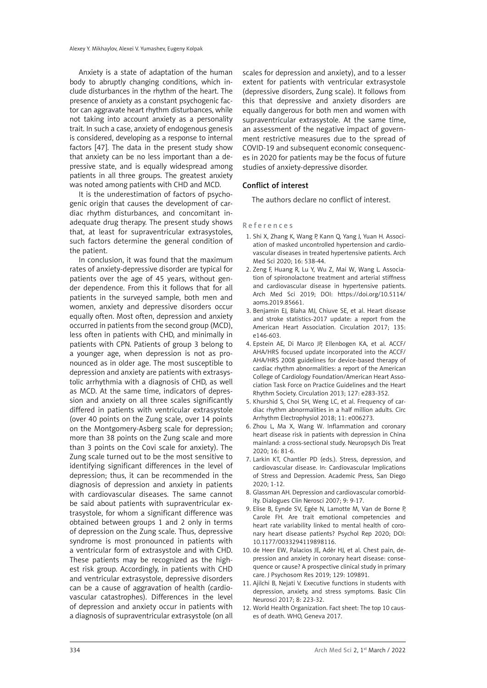Anxiety is a state of adaptation of the human body to abruptly changing conditions, which include disturbances in the rhythm of the heart. The presence of anxiety as a constant psychogenic factor can aggravate heart rhythm disturbances, while not taking into account anxiety as a personality trait. In such a case, anxiety of endogenous genesis is considered, developing as a response to internal factors [47]. The data in the present study show that anxiety can be no less important than a depressive state, and is equally widespread among patients in all three groups. The greatest anxiety was noted among patients with CHD and MCD.

It is the underestimation of factors of psychogenic origin that causes the development of cardiac rhythm disturbances, and concomitant inadequate drug therapy. The present study shows that, at least for supraventricular extrasystoles, such factors determine the general condition of the patient.

In conclusion, it was found that the maximum rates of anxiety-depressive disorder are typical for patients over the age of 45 years, without gender dependence. From this it follows that for all patients in the surveyed sample, both men and women, anxiety and depressive disorders occur equally often. Most often, depression and anxiety occurred in patients from the second group (MCD), less often in patients with CHD, and minimally in patients with CPN. Patients of group 3 belong to a younger age, when depression is not as pronounced as in older age. The most susceptible to depression and anxiety are patients with extrasystolic arrhythmia with a diagnosis of CHD, as well as MCD. At the same time, indicators of depression and anxiety on all three scales significantly differed in patients with ventricular extrasystole (over 40 points on the Zung scale, over 14 points on the Montgomery-Asberg scale for depression; more than 38 points on the Zung scale and more than 3 points on the Covi scale for anxiety). The Zung scale turned out to be the most sensitive to identifying significant differences in the level of depression; thus, it can be recommended in the diagnosis of depression and anxiety in patients with cardiovascular diseases. The same cannot be said about patients with supraventricular extrasystole, for whom a significant difference was obtained between groups 1 and 2 only in terms of depression on the Zung scale. Thus, depressive syndrome is most pronounced in patients with a ventricular form of extrasystole and with CHD. These patients may be recognized as the highest risk group. Accordingly, in patients with CHD and ventricular extrasystole, depressive disorders can be a cause of aggravation of health (cardiovascular catastrophes). Differences in the level of depression and anxiety occur in patients with a diagnosis of supraventricular extrasystole (on all

scales for depression and anxiety), and to a lesser extent for patients with ventricular extrasystole (depressive disorders, Zung scale). It follows from this that depressive and anxiety disorders are equally dangerous for both men and women with supraventricular extrasystole. At the same time, an assessment of the negative impact of government restrictive measures due to the spread of COVID-19 and subsequent economic consequences in 2020 for patients may be the focus of future studies of anxiety-depressive disorder.

# Conflict of interest

The authors declare no conflict of interest.

### References

- 1. Shi X, Zhang K, Wang P, Kann Q, Yang J, Yuan H. Association of masked uncontrolled hypertension and cardiovascular diseases in treated hypertensive patients. Arch Med Sci 2020; 16: 538-44.
- 2. Zeng F, Huang R, Lu Y, Wu Z, Mai W, Wang L. Association of spironolactone treatment and arterial stiffness and cardiovascular disease in hypertensive patients. Arch Med Sci 2019; DOI: https://doi.org/10.5114/ aoms.2019.85661.
- 3. Benjamin EJ, Blaha MJ, Chiuve SE, et al. Heart disease and stroke statistics-2017 update: a report from the American Heart Association. Circulation 2017; 135: e146-603.
- 4. Epstein AE, Di Marco JP, Ellenbogen KA, et al. ACCF/ AHA/HRS focused update incorporated into the ACCF/ AHA/HRS 2008 guidelines for device-based therapy of cardiac rhythm abnormalities: a report of the American College of Cardiology Foundation/American Heart Association Task Force on Practice Guidelines and the Heart Rhythm Society. Circulation 2013; 127: e283-352.
- 5. Khurshid S, Choi SH, Weng LC, et al. Frequency of cardiac rhythm abnormalities in a half million adults. Circ Arrhythm Electrophysiol 2018; 11: e006273.
- 6. Zhou L, Ma X, Wang W. Inflammation and coronary heart disease risk in patients with depression in China mainland: a cross-sectional study. Neuropsych Dis Treat 2020; 16: 81-6.
- 7. Larkin KT, Chantler PD (eds.). Stress, depression, and cardiovascular disease. In: Cardiovascular Implications of Stress and Depression. Academic Press, San Diego 2020; 1-12.
- 8. Glassman AH. Depression and cardiovascular comorbidity. Dialogues Clin Nerosci 2007; 9: 9-17.
- 9. Elise B, Eynde SV, Egée N, Lamotte M, Van de Borne P, Carole FH. Are trait emotional competencies and heart rate variability linked to mental health of coronary heart disease patients? Psychol Rep 2020; DOI: 10.1177/0033294119898116.
- 10. de Heer EW, Palacios JE, Adèr HJ, et al. Chest pain, depression and anxiety in coronary heart disease: consequence or cause? A prospective clinical study in primary care. J Psychosom Res 2019; 129: 109891.
- 11. Ajilchi B, Nejati V. Executive functions in students with depression, anxiety, and stress symptoms. Basic Clin Neurosci 2017; 8: 223-32.
- 12. World Health Organization. Fact sheet: The top 10 causes of death. WHO, Geneva 2017.